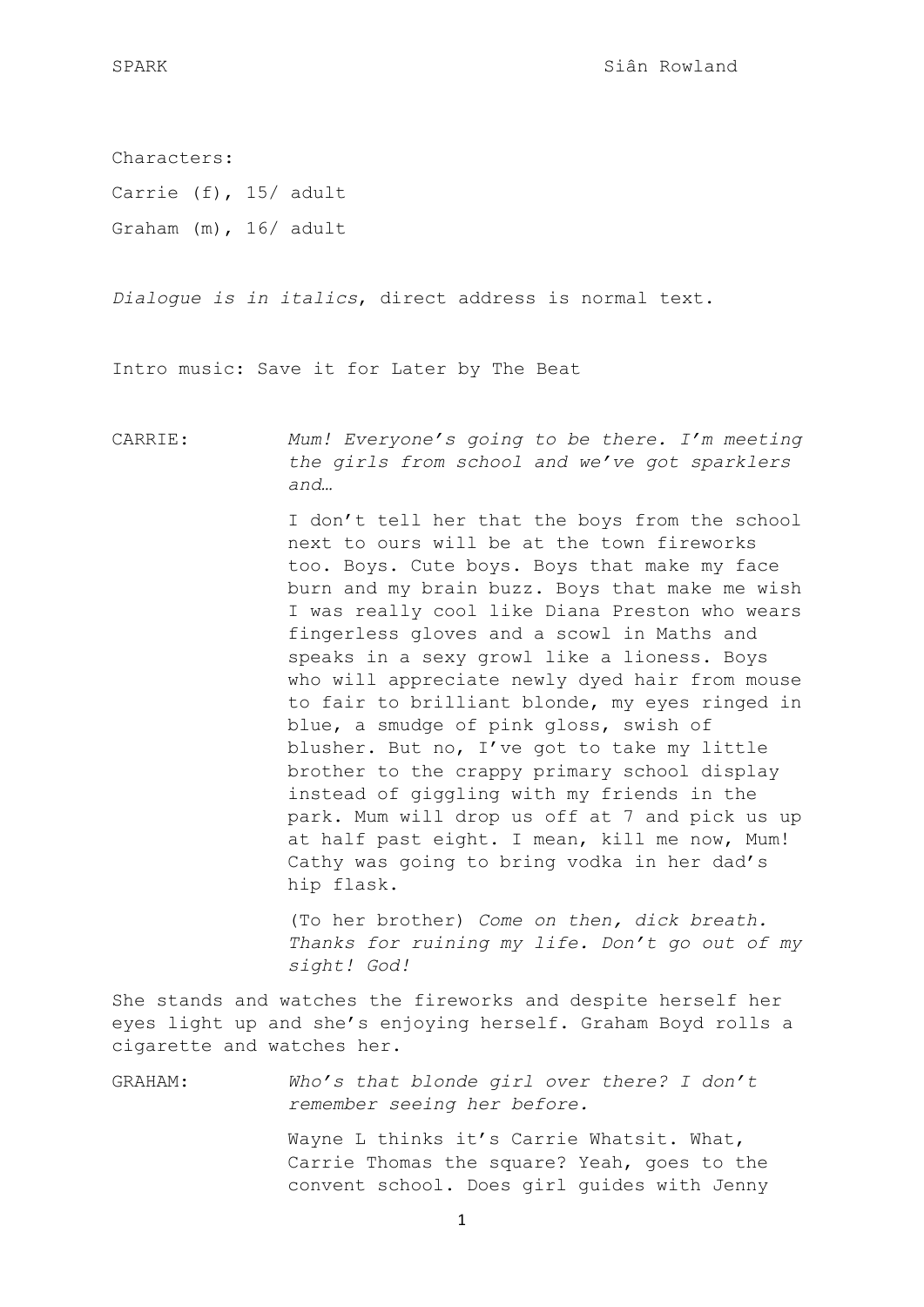Characters: Carrie (f), 15/ adult Graham (m), 16/ adult

*Dialogue is in italics*, direct address is normal text.

Intro music: Save it for Later by The Beat

CARRIE: *Mum! Everyone's going to be there. I'm meeting the girls from school and we've got sparklers and…*

> I don't tell her that the boys from the school next to ours will be at the town fireworks too. Boys. Cute boys. Boys that make my face burn and my brain buzz. Boys that make me wish I was really cool like Diana Preston who wears fingerless gloves and a scowl in Maths and speaks in a sexy growl like a lioness. Boys who will appreciate newly dyed hair from mouse to fair to brilliant blonde, my eyes ringed in blue, a smudge of pink gloss, swish of blusher. But no, I've got to take my little brother to the crappy primary school display instead of giggling with my friends in the park. Mum will drop us off at 7 and pick us up at half past eight. I mean, kill me now, Mum! Cathy was going to bring vodka in her dad's hip flask.

> (To her brother) *Come on then, dick breath. Thanks for ruining my life. Don't go out of my sight! God!*

She stands and watches the fireworks and despite herself her eyes light up and she's enjoying herself. Graham Boyd rolls a cigarette and watches her.

GRAHAM: *Who's that blonde girl over there? I don't remember seeing her before.*

> Wayne L thinks it's Carrie Whatsit. What, Carrie Thomas the square? Yeah, goes to the convent school. Does girl guides with Jenny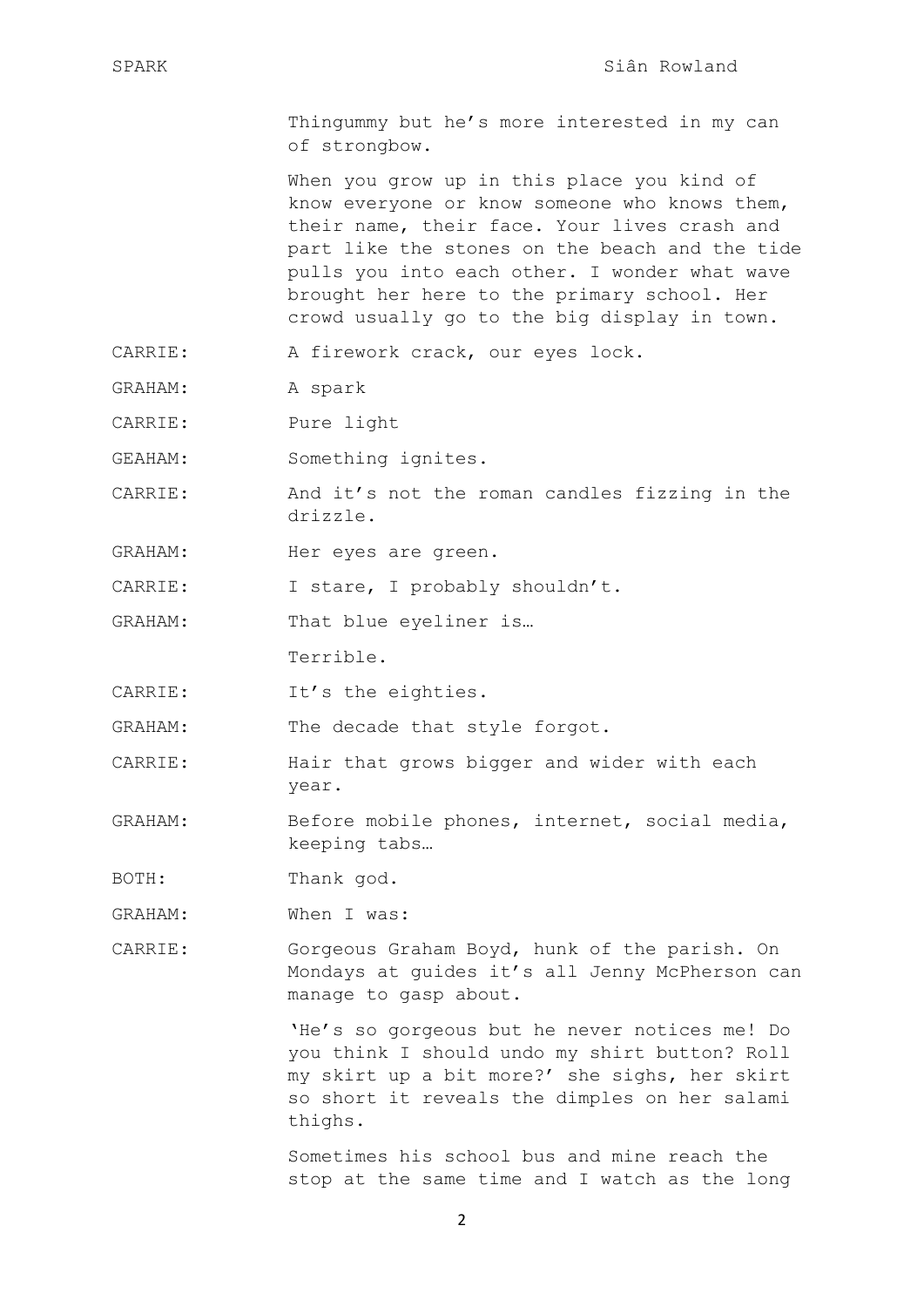Thingummy but he's more interested in my can of strongbow.

When you grow up in this place you kind of know everyone or know someone who knows them, their name, their face. Your lives crash and part like the stones on the beach and the tide pulls you into each other. I wonder what wave brought her here to the primary school. Her crowd usually go to the big display in town.

- CARRIE: A firework crack, our eyes lock.
- GRAHAM: A spark
- CARRIE: Pure light
- GEAHAM: Something ignites.
- CARRIE: And it's not the roman candles fizzing in the drizzle.
- GRAHAM: Her eyes are green.
- CARRIE: I stare, I probably shouldn't.

GRAHAM: That blue eyeliner is…

Terrible.

CARRIE: It's the eighties.

GRAHAM: The decade that style forgot.

- CARRIE: Hair that grows bigger and wider with each year.
- GRAHAM: Before mobile phones, internet, social media, keeping tabs…

BOTH: Thank god.

GRAHAM: When I was:

CARRIE: Gorgeous Graham Boyd, hunk of the parish. On Mondays at guides it's all Jenny McPherson can manage to gasp about.

> 'He's so gorgeous but he never notices me! Do you think I should undo my shirt button? Roll my skirt up a bit more?' she sighs, her skirt so short it reveals the dimples on her salami thighs.

> Sometimes his school bus and mine reach the stop at the same time and I watch as the long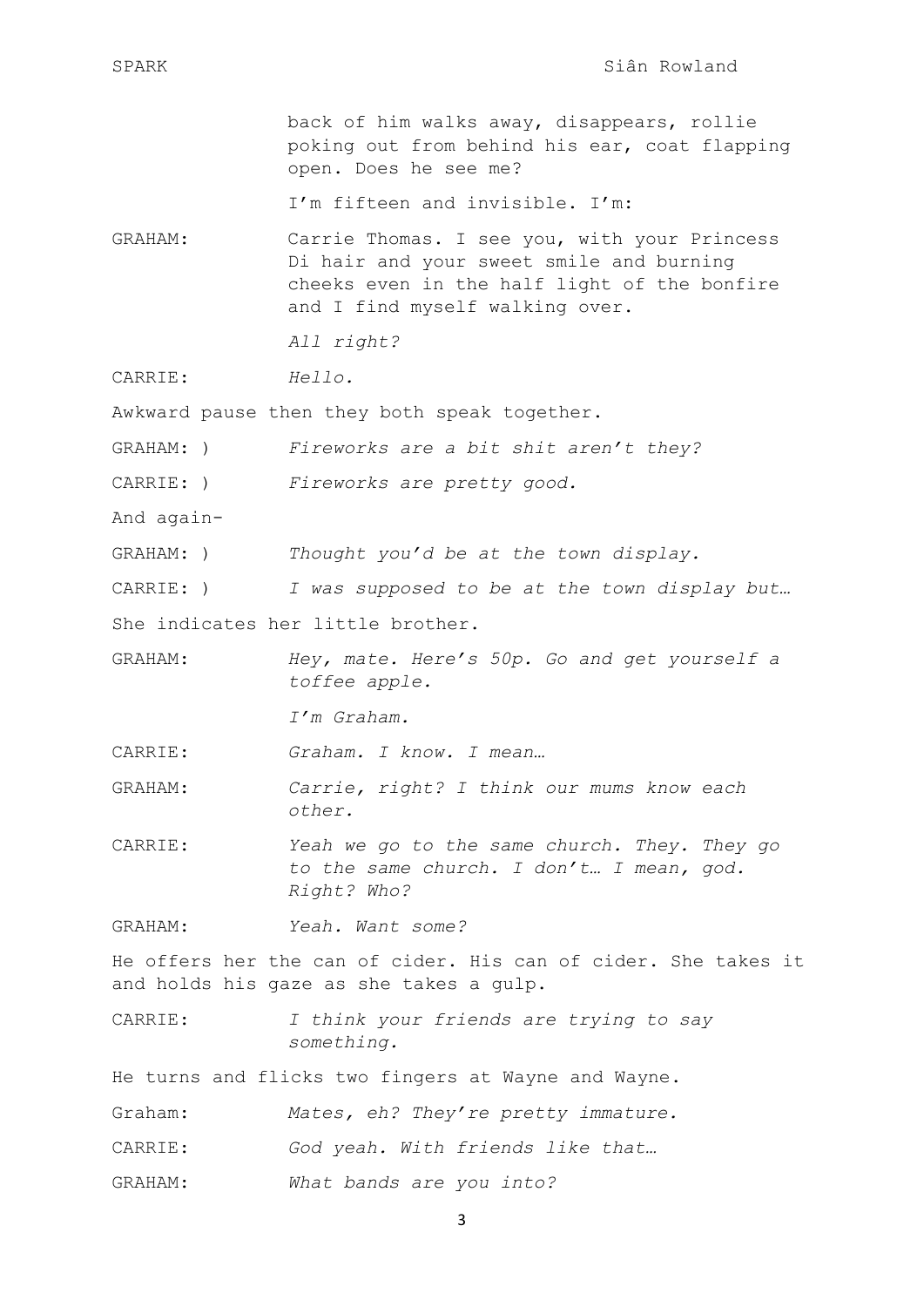back of him walks away, disappears, rollie poking out from behind his ear, coat flapping open. Does he see me?

I'm fifteen and invisible. I'm:

GRAHAM: Carrie Thomas. I see you, with your Princess Di hair and your sweet smile and burning cheeks even in the half light of the bonfire and I find myself walking over.

*All right?*

CARRIE: *Hello.*

Awkward pause then they both speak together.

GRAHAM: ) *Fireworks are a bit shit aren't they?*

CARRIE: ) *Fireworks are pretty good.*

And again-

GRAHAM: ) *Thought you'd be at the town display.*

CARRIE: ) *I was supposed to be at the town display but…*

She indicates her little brother.

GRAHAM: *Hey, mate. Here's 50p. Go and get yourself a toffee apple.* 

*I'm Graham.*

CARRIE: *Graham. I know. I mean…*

- GRAHAM: *Carrie, right? I think our mums know each other.*
- CARRIE: *Yeah we go to the same church. They. They go to the same church. I don't… I mean, god. Right? Who?*

GRAHAM: *Yeah. Want some?* 

He offers her the can of cider. His can of cider. She takes it and holds his gaze as she takes a gulp.

CARRIE: *I think your friends are trying to say something.* 

He turns and flicks two fingers at Wayne and Wayne.

- Graham: *Mates, eh? They're pretty immature.*
- CARRIE: *God yeah. With friends like that…*
- GRAHAM: *What bands are you into?*

3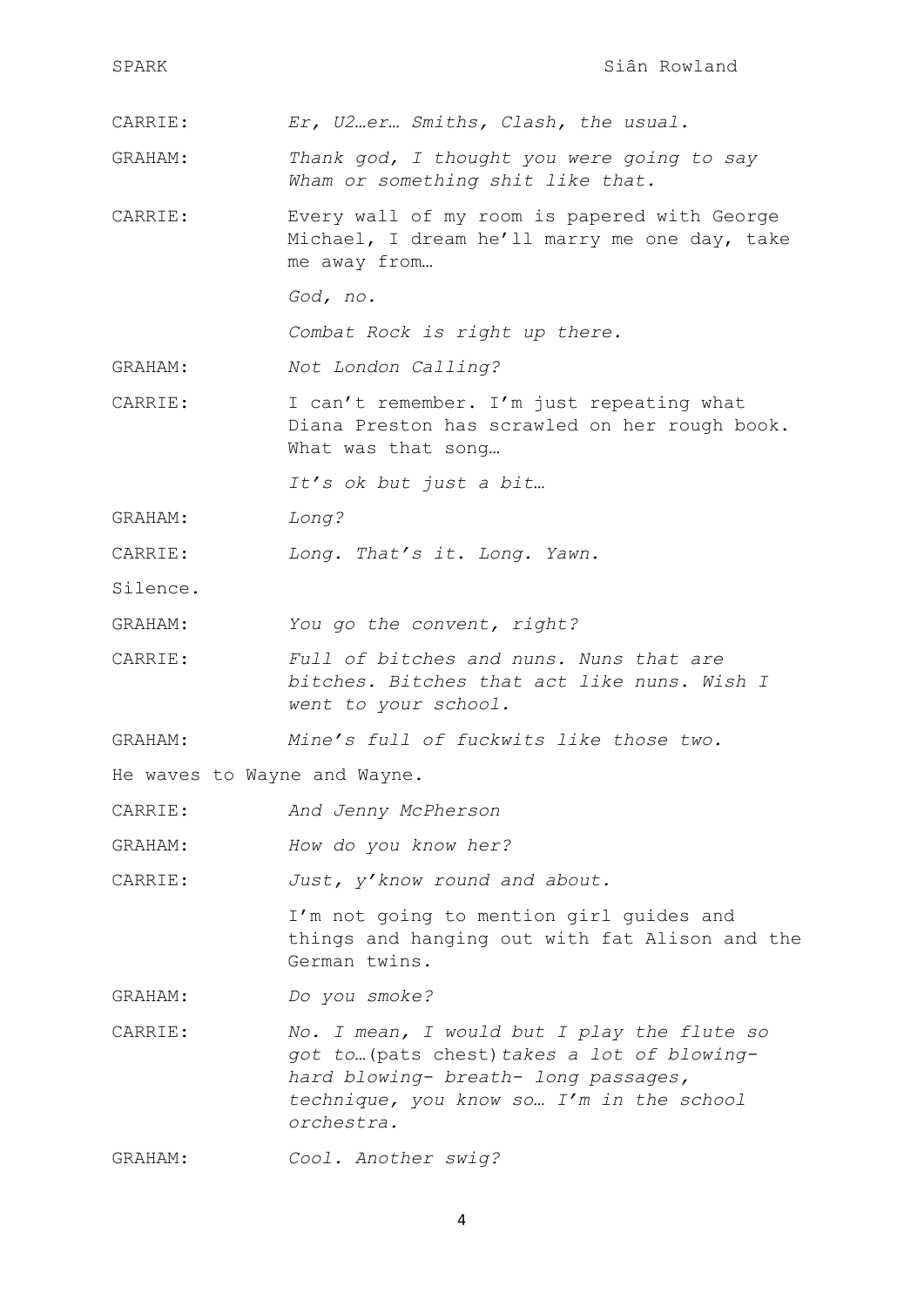| SPARK                        | Siân Rowland                                                                                                                                                                                 |  |
|------------------------------|----------------------------------------------------------------------------------------------------------------------------------------------------------------------------------------------|--|
| CARRIE:                      | Er, U2er Smiths, Clash, the usual.                                                                                                                                                           |  |
| GRAHAM:                      | Thank god, I thought you were going to say<br>Wham or something shit like that.                                                                                                              |  |
| CARRIE:                      | Every wall of my room is papered with George<br>Michael, I dream he'll marry me one day, take<br>me away from                                                                                |  |
|                              | God, no.                                                                                                                                                                                     |  |
|                              | Combat Rock is right up there.                                                                                                                                                               |  |
| GRAHAM:                      | Not London Calling?                                                                                                                                                                          |  |
| CARRIE:                      | I can't remember. I'm just repeating what<br>Diana Preston has scrawled on her rough book.<br>What was that song                                                                             |  |
|                              | It's ok but just a bit                                                                                                                                                                       |  |
| GRAHAM:                      | Long?                                                                                                                                                                                        |  |
| CARRIE:                      | Long. That's it. Long. Yawn.                                                                                                                                                                 |  |
| Silence.                     |                                                                                                                                                                                              |  |
| GRAHAM:                      | You go the convent, right?                                                                                                                                                                   |  |
| CARRIE:                      | Full of bitches and nuns. Nuns that are<br>bitches. Bitches that act like nuns. Wish I<br>went to your school.                                                                               |  |
| GRAHAM:                      | Mine's full of fuckwits like those two.                                                                                                                                                      |  |
| He waves to Wayne and Wayne. |                                                                                                                                                                                              |  |
| CARRIE:                      | And Jenny McPherson                                                                                                                                                                          |  |
| GRAHAM:                      | How do you know her?                                                                                                                                                                         |  |
| CARRIE:                      | Just, y'know round and about.                                                                                                                                                                |  |
|                              | I'm not going to mention girl guides and<br>things and hanging out with fat Alison and the<br>German twins.                                                                                  |  |
| GRAHAM:                      | Do you smoke?                                                                                                                                                                                |  |
| CARRIE:                      | No. I mean, I would but I play the flute so<br>got to (pats chest) takes a lot of blowing-<br>hard blowing- breath- long passages,<br>technique, you know so I'm in the school<br>orchestra. |  |
| GRAHAM:                      | Cool. Another swig?                                                                                                                                                                          |  |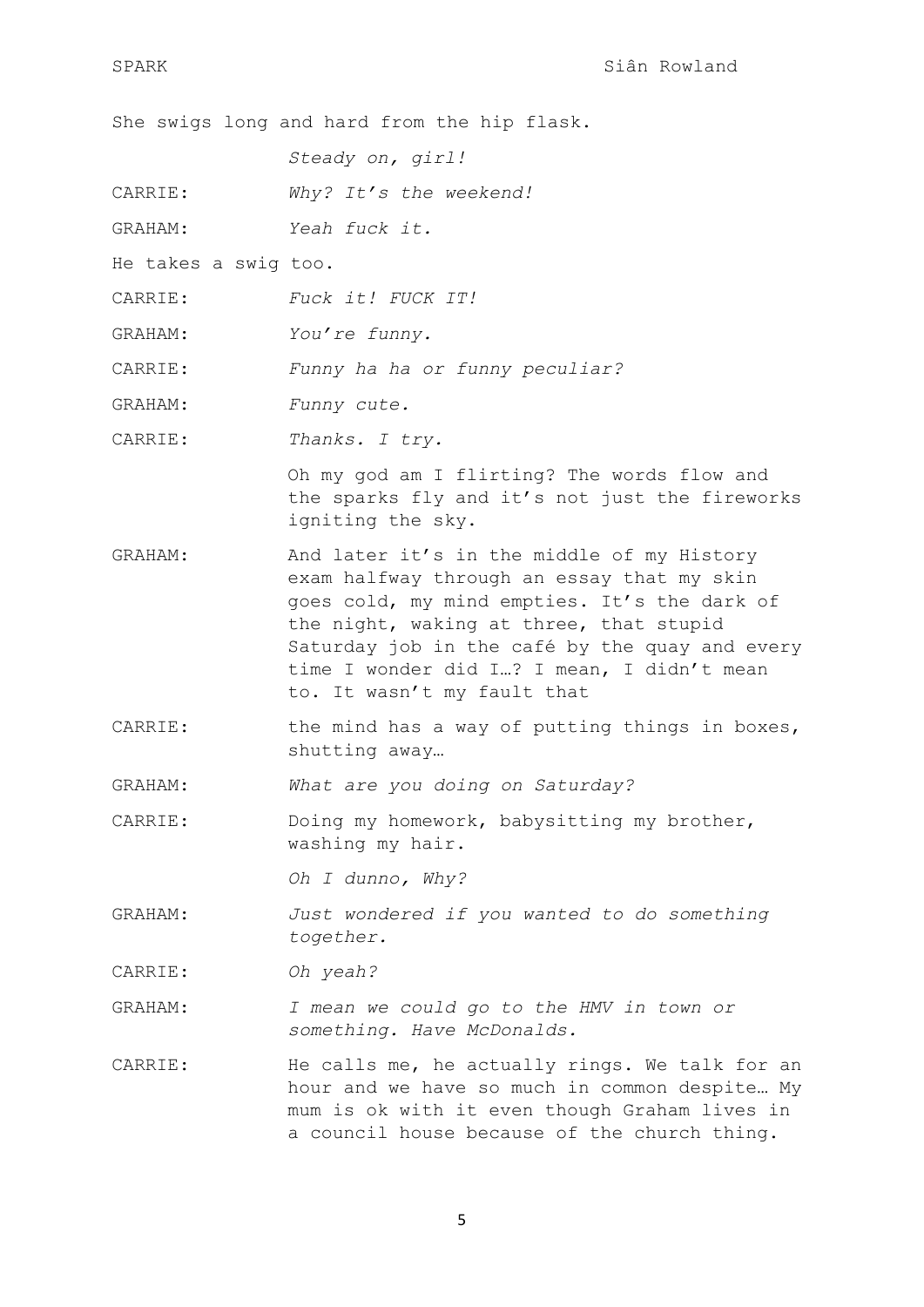She swigs long and hard from the hip flask.

*Steady on, girl!*

- CARRIE: *Why? It's the weekend!*
- GRAHAM: *Yeah fuck it.*
- He takes a swig too.
- CARRIE: *Fuck it! FUCK IT!*
- GRAHAM: *You're funny.*
- CARRIE: *Funny ha ha or funny peculiar?*
- GRAHAM: *Funny cute.*
- CARRIE: *Thanks. I try.*

Oh my god am I flirting? The words flow and the sparks fly and it's not just the fireworks igniting the sky.

- GRAHAM: And later it's in the middle of my History exam halfway through an essay that my skin goes cold, my mind empties. It's the dark of the night, waking at three, that stupid Saturday job in the café by the quay and every time I wonder did I…? I mean, I didn't mean to. It wasn't my fault that
- CARRIE: the mind has a way of putting things in boxes, shutting away…
- GRAHAM: *What are you doing on Saturday?*
- CARRIE: Doing my homework, babysitting my brother, washing my hair.

*Oh I dunno, Why?*

GRAHAM: *Just wondered if you wanted to do something together.*

CARRIE: *Oh yeah?*

- GRAHAM: *I mean we could go to the HMV in town or something. Have McDonalds.*
- CARRIE: He calls me, he actually rings. We talk for an hour and we have so much in common despite… My mum is ok with it even though Graham lives in a council house because of the church thing.

5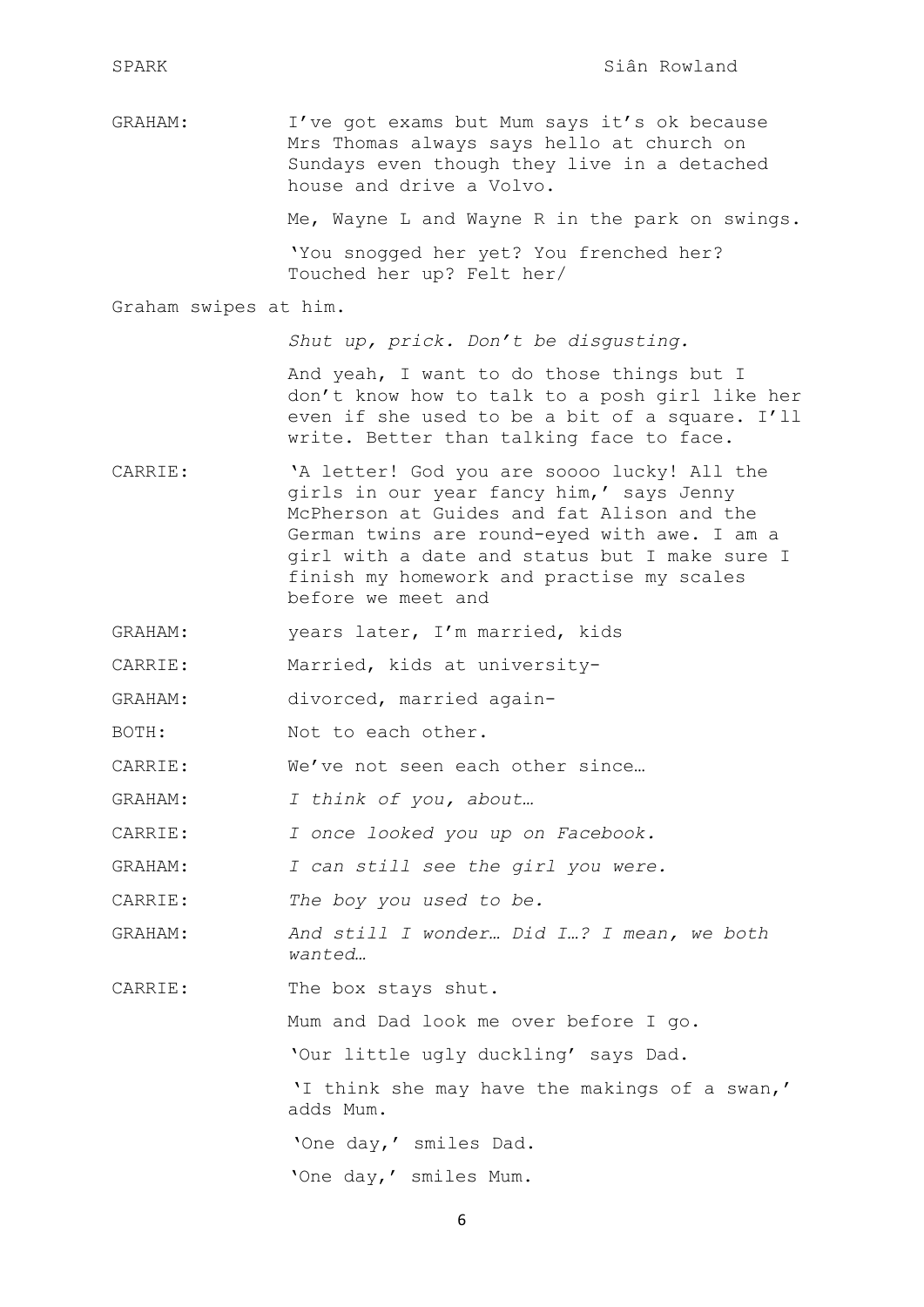GRAHAM: I've got exams but Mum says it's ok because Mrs Thomas always says hello at church on Sundays even though they live in a detached house and drive a Volvo.

Me, Wayne L and Wayne R in the park on swings.

'You snogged her yet? You frenched her? Touched her up? Felt her/

Graham swipes at him.

*Shut up, prick. Don't be disgusting.*

And yeah, I want to do those things but I don't know how to talk to a posh girl like her even if she used to be a bit of a square. I'll write. Better than talking face to face.

- CARRIE: 'A letter! God you are soooo lucky! All the girls in our year fancy him,' says Jenny McPherson at Guides and fat Alison and the German twins are round-eyed with awe. I am a girl with a date and status but I make sure I finish my homework and practise my scales before we meet and
- GRAHAM: years later, I'm married, kids
- CARRIE: Married, kids at university-
- GRAHAM: divorced, married again-
- BOTH: Not to each other.

CARRIE: We've not seen each other since…

GRAHAM: *I think of you, about…*

CARRIE: *I once looked you up on Facebook.*

GRAHAM: *I can still see the girl you were.*

CARRIE: *The boy you used to be.*

GRAHAM: *And still I wonder… Did I…? I mean, we both wanted…*

CARRIE: The box stays shut.

Mum and Dad look me over before I go.

'Our little ugly duckling' says Dad.

'I think she may have the makings of a swan,' adds Mum.

'One day,' smiles Dad.

'One day,' smiles Mum.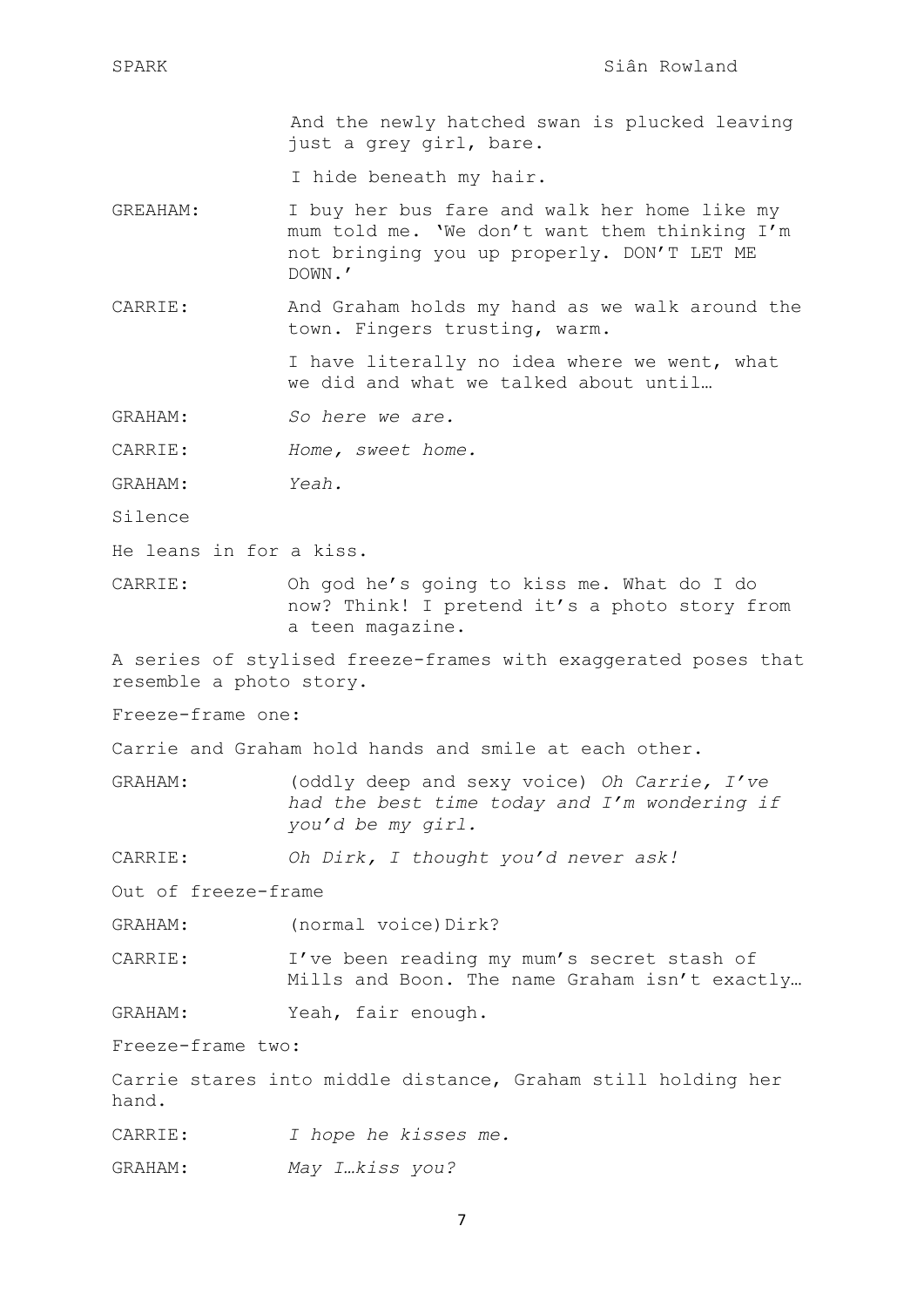And the newly hatched swan is plucked leaving just a grey girl, bare.

I hide beneath my hair.

- GREAHAM: I buy her bus fare and walk her home like my mum told me. 'We don't want them thinking I'm not bringing you up properly. DON'T LET ME DOWN.'
- CARRIE: And Graham holds my hand as we walk around the town. Fingers trusting, warm.

I have literally no idea where we went, what we did and what we talked about until…

GRAHAM: *So here we are.*

CARRIE: *Home, sweet home.*

- GRAHAM: *Yeah.*
- Silence

He leans in for a kiss.

CARRIE: Oh god he's going to kiss me. What do I do now? Think! I pretend it's a photo story from a teen magazine.

A series of stylised freeze-frames with exaggerated poses that resemble a photo story.

Freeze-frame one:

Carrie and Graham hold hands and smile at each other.

- GRAHAM: (oddly deep and sexy voice) *Oh Carrie, I've had the best time today and I'm wondering if you'd be my girl.*
- CARRIE: *Oh Dirk, I thought you'd never ask!*

Out of freeze-frame

- GRAHAM: (normal voice)Dirk?
- CARRIE: I've been reading my mum's secret stash of Mills and Boon. The name Graham isn't exactly…
- GRAHAM: Yeah, fair enough.

Freeze-frame two:

Carrie stares into middle distance, Graham still holding her hand.

CARRIE: *I hope he kisses me.*

GRAHAM: *May I…kiss you?*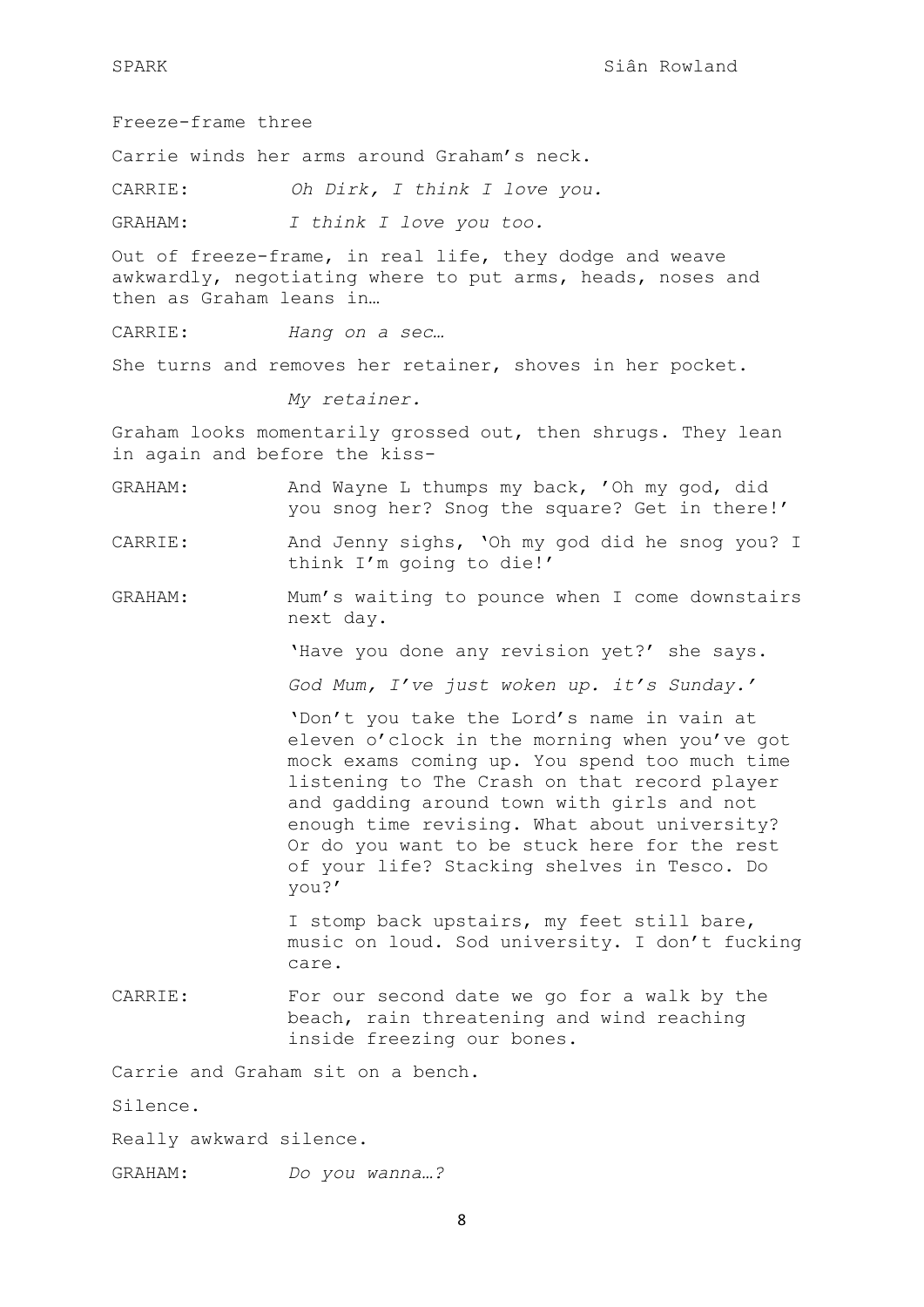Freeze-frame three

Carrie winds her arms around Graham's neck.

CARRIE: *Oh Dirk, I think I love you.*

GRAHAM: *I think I love you too.* 

Out of freeze-frame, in real life, they dodge and weave awkwardly, negotiating where to put arms, heads, noses and then as Graham leans in…

CARRIE: *Hang on a sec…*

She turns and removes her retainer, shoves in her pocket.

*My retainer.*

Graham looks momentarily grossed out, then shrugs. They lean in again and before the kiss-

- GRAHAM: And Wayne L thumps my back, 'Oh my god, did you snog her? Snog the square? Get in there!'
- CARRIE: And Jenny sighs, 'Oh my god did he snog you? I think I'm going to die!'
- GRAHAM: Mum's waiting to pounce when I come downstairs next day.

'Have you done any revision yet?' she says.

*God Mum, I've just woken up. it's Sunday.'*

'Don't you take the Lord's name in vain at eleven o'clock in the morning when you've got mock exams coming up. You spend too much time listening to The Crash on that record player and gadding around town with girls and not enough time revising. What about university? Or do you want to be stuck here for the rest of your life? Stacking shelves in Tesco. Do you?'

I stomp back upstairs, my feet still bare, music on loud. Sod university. I don't fucking care.

CARRIE: For our second date we go for a walk by the beach, rain threatening and wind reaching inside freezing our bones.

Carrie and Graham sit on a bench.

Silence.

Really awkward silence.

GRAHAM: *Do you wanna…?*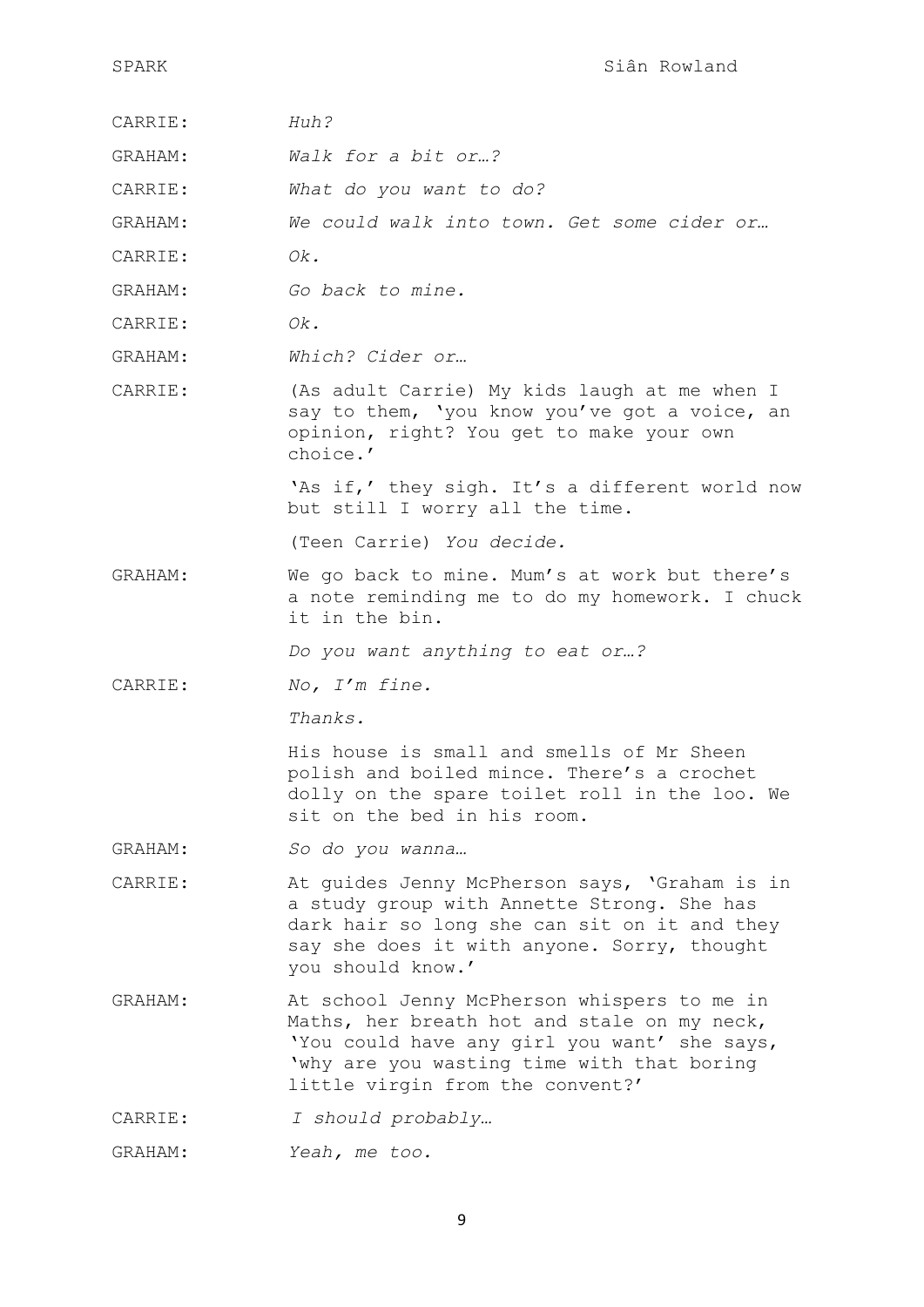- CARRIE: *Huh?*
- GRAHAM: *Walk for a bit or…?*
- CARRIE: *What do you want to do?*

GRAHAM: *We could walk into town. Get some cider or…*

- CARRIE: *Ok.*
- GRAHAM: *Go back to mine.*
- CARRIE: *Ok.*
- GRAHAM: *Which? Cider or…*
- CARRIE: (As adult Carrie) My kids laugh at me when I say to them, 'you know you've got a voice, an opinion, right? You get to make your own choice.'

'As if,' they sigh. It's a different world now but still I worry all the time.

(Teen Carrie) *You decide.* 

GRAHAM: We go back to mine. Mum's at work but there's a note reminding me to do my homework. I chuck it in the bin.

*Do you want anything to eat or…?*

CARRIE: *No, I'm fine.*

*Thanks.* 

His house is small and smells of Mr Sheen polish and boiled mince. There's a crochet dolly on the spare toilet roll in the loo. We sit on the bed in his room.

- GRAHAM: *So do you wanna…*
- CARRIE: At guides Jenny McPherson says, 'Graham is in a study group with Annette Strong. She has dark hair so long she can sit on it and they say she does it with anyone. Sorry, thought you should know.'
- GRAHAM: At school Jenny McPherson whispers to me in Maths, her breath hot and stale on my neck, 'You could have any girl you want' she says, 'why are you wasting time with that boring little virgin from the convent?'
- CARRIE: *I should probably…*
- GRAHAM: *Yeah, me too.*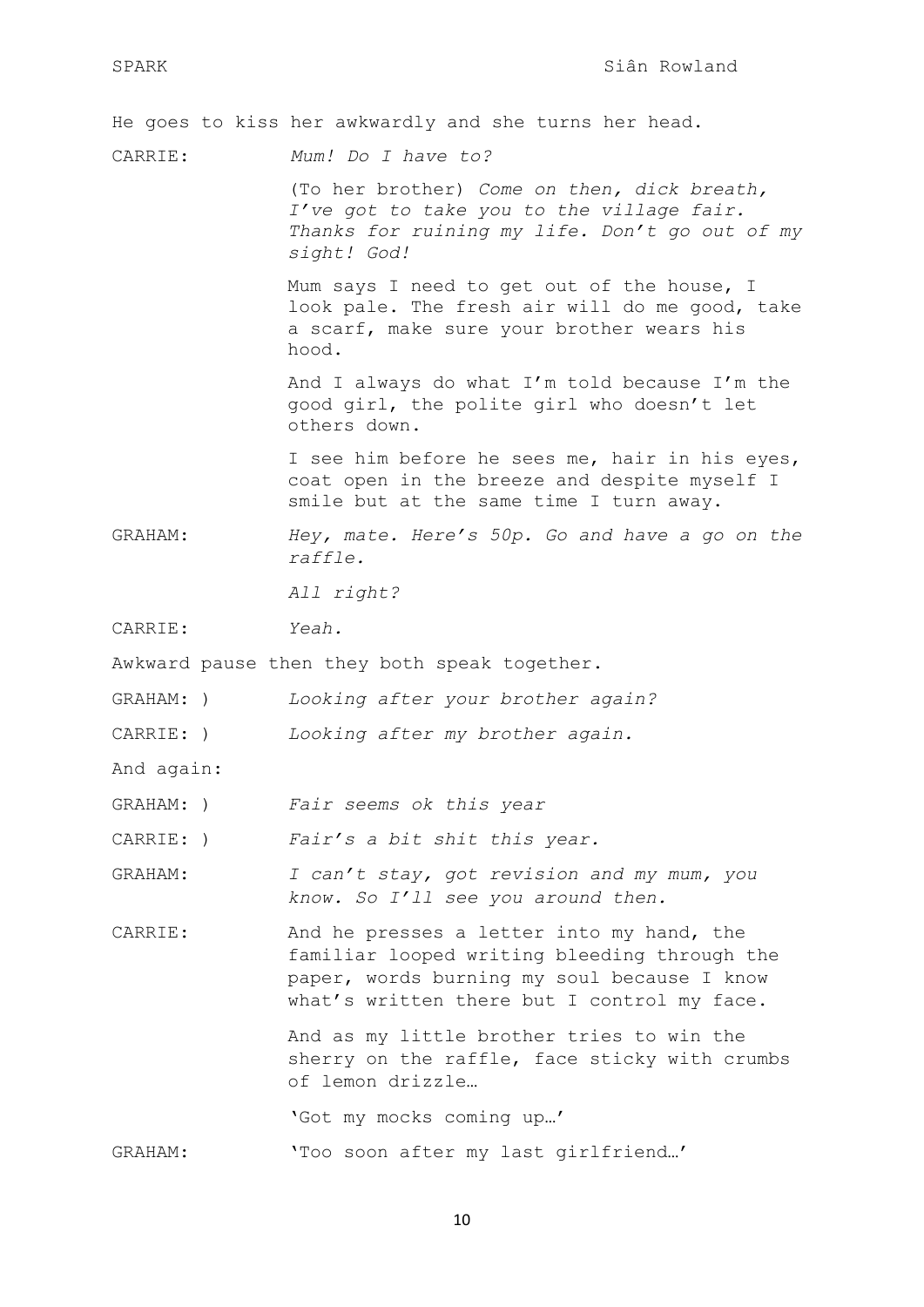He goes to kiss her awkwardly and she turns her head.

CARRIE: *Mum! Do I have to?*

(To her brother) *Come on then, dick breath, I've got to take you to the village fair. Thanks for ruining my life. Don't go out of my sight! God!*

Mum says I need to get out of the house, I look pale. The fresh air will do me good, take a scarf, make sure your brother wears his hood.

And I always do what I'm told because I'm the good girl, the polite girl who doesn't let others down.

I see him before he sees me, hair in his eyes, coat open in the breeze and despite myself I smile but at the same time I turn away.

GRAHAM: *Hey, mate. Here's 50p. Go and have a go on the raffle.* 

*All right?*

CARRIE: *Yeah.*

Awkward pause then they both speak together.

- GRAHAM: ) *Looking after your brother again?*
- CARRIE: ) *Looking after my brother again.*

And again:

GRAHAM: ) *Fair seems ok this year*

CARRIE: ) *Fair's a bit shit this year.*

GRAHAM: *I can't stay, got revision and my mum, you know. So I'll see you around then.* 

CARRIE: And he presses a letter into my hand, the familiar looped writing bleeding through the paper, words burning my soul because I know what's written there but I control my face.

> And as my little brother tries to win the sherry on the raffle, face sticky with crumbs of lemon drizzle…

'Got my mocks coming up…'

GRAHAM: 'Too soon after my last girlfriend…'

10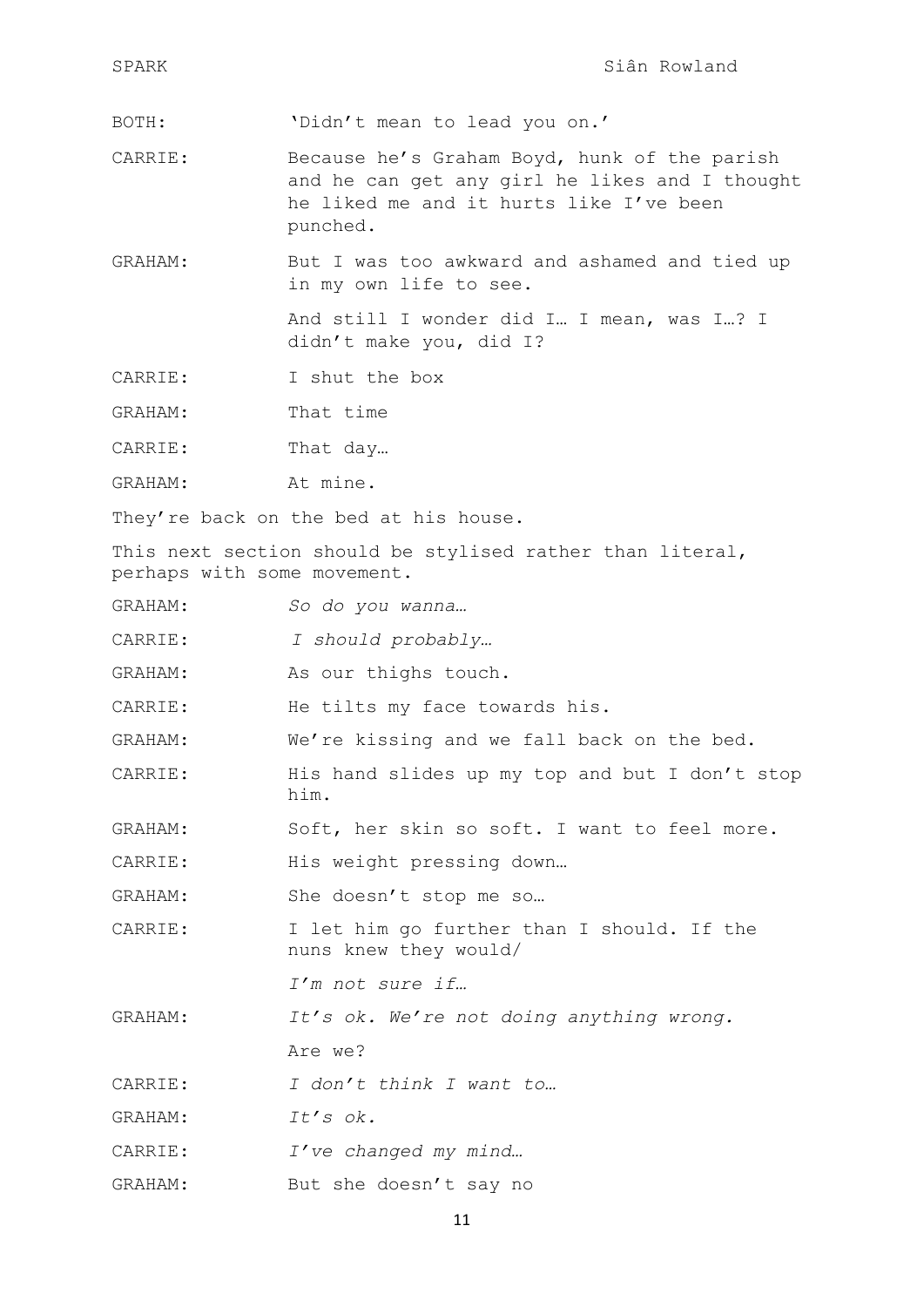| SPARK                                                                                    | Siân Rowland                                                                                                                                          |  |
|------------------------------------------------------------------------------------------|-------------------------------------------------------------------------------------------------------------------------------------------------------|--|
| BOTH:                                                                                    | 'Didn't mean to lead you on.'                                                                                                                         |  |
| CARRIE:                                                                                  | Because he's Graham Boyd, hunk of the parish<br>and he can get any girl he likes and I thought<br>he liked me and it hurts like I've been<br>punched. |  |
| GRAHAM:                                                                                  | But I was too awkward and ashamed and tied up<br>in my own life to see.                                                                               |  |
|                                                                                          | And still I wonder did I I mean, was I? I<br>didn't make you, did I?                                                                                  |  |
| CARRIE:                                                                                  | I shut the box                                                                                                                                        |  |
| GRAHAM:                                                                                  | That time                                                                                                                                             |  |
| CARRIE:                                                                                  | That day                                                                                                                                              |  |
| GRAHAM:                                                                                  | At mine.                                                                                                                                              |  |
|                                                                                          | They're back on the bed at his house.                                                                                                                 |  |
| This next section should be stylised rather than literal,<br>perhaps with some movement. |                                                                                                                                                       |  |
| GRAHAM:                                                                                  | So do you wanna                                                                                                                                       |  |
| CARRIE:                                                                                  | I should probably                                                                                                                                     |  |
| GRAHAM:                                                                                  | As our thighs touch.                                                                                                                                  |  |
| CARRIE:                                                                                  | He tilts my face towards his.                                                                                                                         |  |
| GRAHAM:                                                                                  | We're kissing and we fall back on the bed.                                                                                                            |  |
| CARRIE:                                                                                  | His hand slides up my top and but I don't stop<br>him.                                                                                                |  |
| GRAHAM:                                                                                  | Soft, her skin so soft. I want to feel more.                                                                                                          |  |
| CARRIE:                                                                                  | His weight pressing down                                                                                                                              |  |
| GRAHAM:                                                                                  | She doesn't stop me so                                                                                                                                |  |
| CARRIE:                                                                                  | I let him go further than I should. If the<br>nuns knew they would/                                                                                   |  |
|                                                                                          | I'm not sure if                                                                                                                                       |  |
| GRAHAM:                                                                                  | It's ok. We're not doing anything wrong.                                                                                                              |  |
|                                                                                          | Are we?                                                                                                                                               |  |
| CARRIE:                                                                                  | I don't think I want to                                                                                                                               |  |
| GRAHAM:                                                                                  | It's ok.                                                                                                                                              |  |
| CARRIE:                                                                                  | I've changed my mind                                                                                                                                  |  |
| GRAHAM:                                                                                  | But she doesn't say no                                                                                                                                |  |